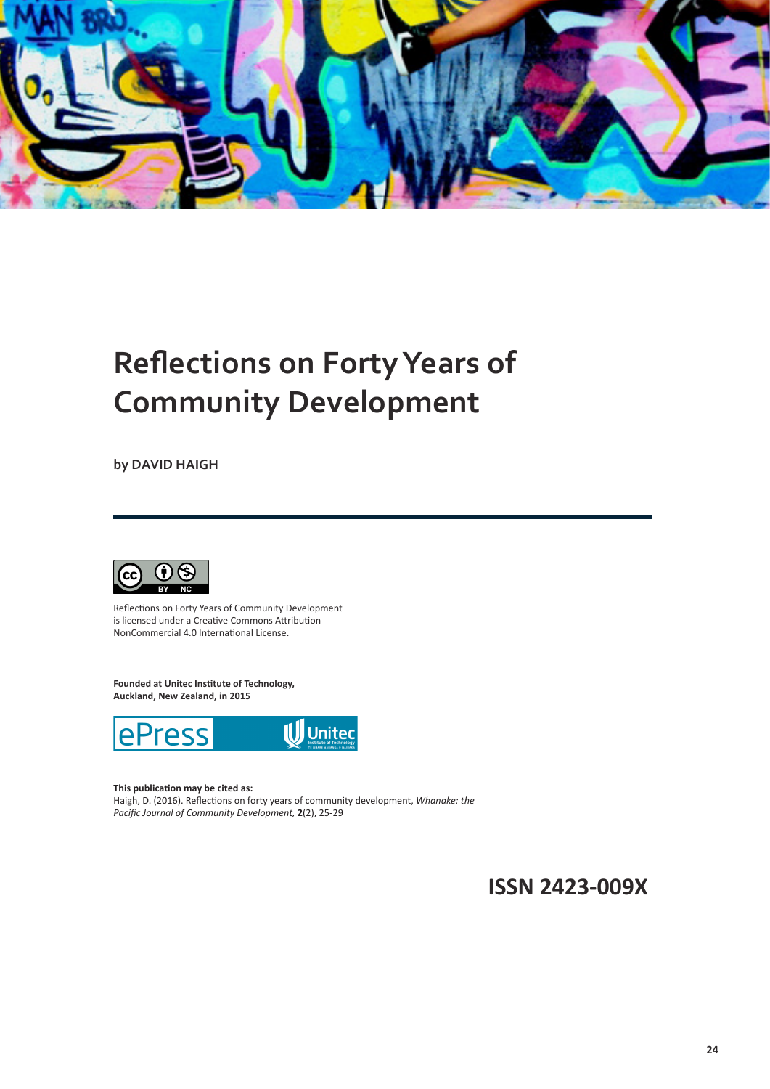

## **Reflections on FortyYears of Community Development**

**by DAVID HAIGH**



Reflections on Forty Years of Community Development is licensed under a Creative Commons Attribution-NonCommercial 4.0 International License.

**Founded at Unitec Institute of Technology, Auckland, New Zealand, in 2015**



**This publication may be cited as:**

Haigh, D. (2016). Reflections on forty years of community development, *Whanake: the Pacific Journal of Community Development,* **2**(2), 25-29

**ISSN 2423-009X**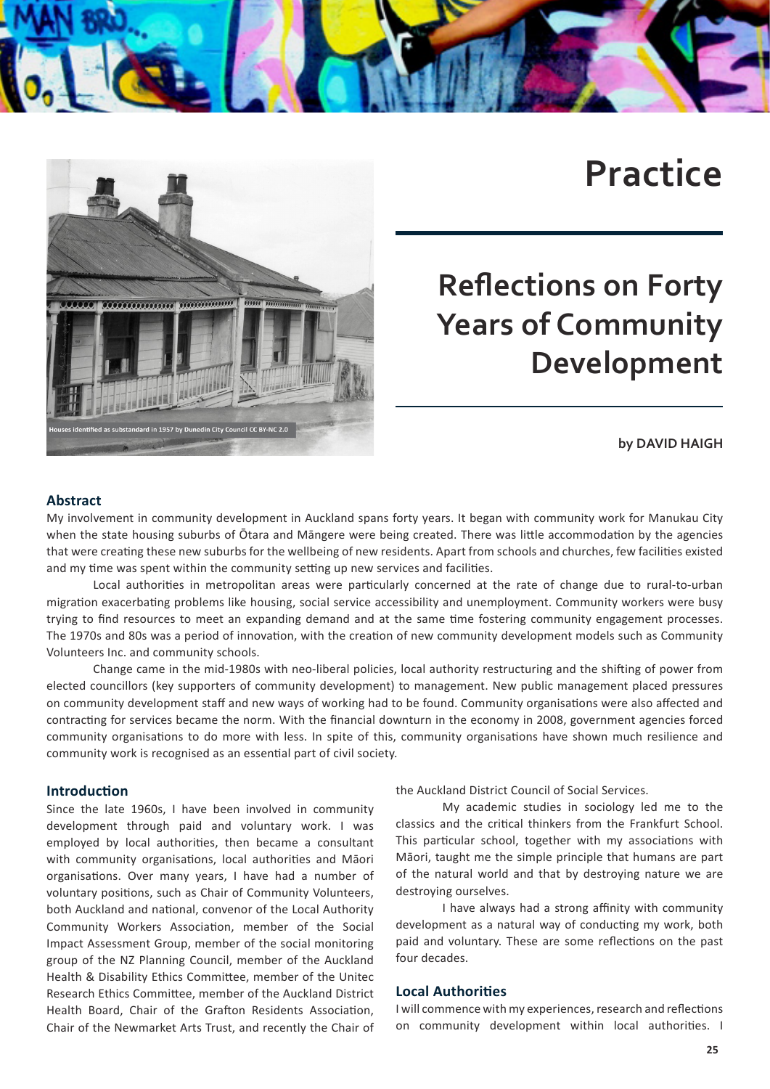

# $rac{1}{2}$ **ALLELLE** d as substandard in 1957 by Dunedin City Council CC BY-NC 2.0

# **Practice**

# **Reflections on Forty Years of Community Development**

## **by DAVID HAIGH**

### **Abstract**

My involvement in community development in Auckland spans forty years. It began with community work for Manukau City when the state housing suburbs of Ōtara and Māngere were being created. There was little accommodation by the agencies that were creating these new suburbs for the wellbeing of new residents. Apart from schools and churches, few facilities existed and my time was spent within the community setting up new services and facilities.

Local authorities in metropolitan areas were particularly concerned at the rate of change due to rural-to-urban migration exacerbating problems like housing, social service accessibility and unemployment. Community workers were busy trying to find resources to meet an expanding demand and at the same time fostering community engagement processes. The 1970s and 80s was a period of innovation, with the creation of new community development models such as Community Volunteers Inc. and community schools.

Change came in the mid-1980s with neo-liberal policies, local authority restructuring and the shifting of power from elected councillors (key supporters of community development) to management. New public management placed pressures on community development staff and new ways of working had to be found. Community organisations were also affected and contracting for services became the norm. With the financial downturn in the economy in 2008, government agencies forced community organisations to do more with less. In spite of this, community organisations have shown much resilience and community work is recognised as an essential part of civil society.

#### **Introduction**

Since the late 1960s, I have been involved in community development through paid and voluntary work. I was employed by local authorities, then became a consultant with community organisations, local authorities and Māori organisations. Over many years, I have had a number of voluntary positions, such as Chair of Community Volunteers, both Auckland and national, convenor of the Local Authority Community Workers Association, member of the Social Impact Assessment Group, member of the social monitoring group of the NZ Planning Council, member of the Auckland Health & Disability Ethics Committee, member of the Unitec Research Ethics Committee, member of the Auckland District Health Board, Chair of the Grafton Residents Association, Chair of the Newmarket Arts Trust, and recently the Chair of the Auckland District Council of Social Services.

My academic studies in sociology led me to the classics and the critical thinkers from the Frankfurt School. This particular school, together with my associations with Māori, taught me the simple principle that humans are part of the natural world and that by destroying nature we are destroying ourselves.

I have always had a strong affinity with community development as a natural way of conducting my work, both paid and voluntary. These are some reflections on the past four decades.

#### **Local Authorities**

I will commence with my experiences, research and reflections on community development within local authorities. I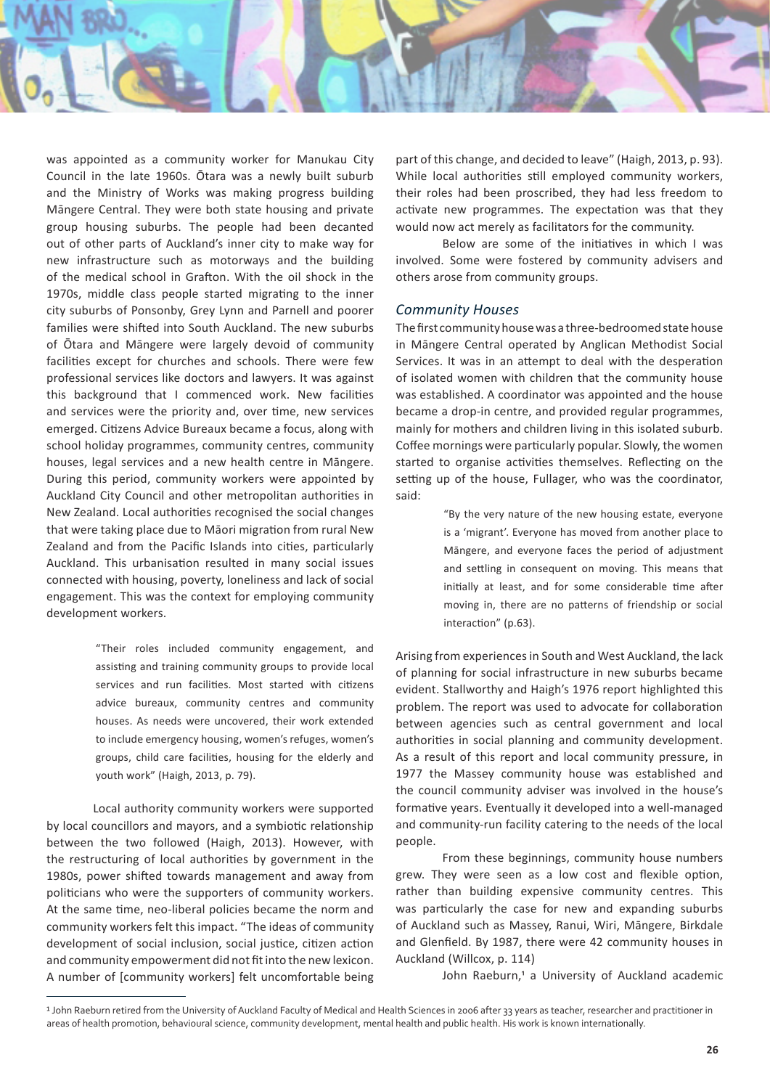

was appointed as a community worker for Manukau City Council in the late 1960s. Ōtara was a newly built suburb and the Ministry of Works was making progress building Māngere Central. They were both state housing and private group housing suburbs. The people had been decanted out of other parts of Auckland's inner city to make way for new infrastructure such as motorways and the building of the medical school in Grafton. With the oil shock in the 1970s, middle class people started migrating to the inner city suburbs of Ponsonby, Grey Lynn and Parnell and poorer families were shifted into South Auckland. The new suburbs of Ōtara and Māngere were largely devoid of community facilities except for churches and schools. There were few professional services like doctors and lawyers. It was against this background that I commenced work. New facilities and services were the priority and, over time, new services emerged. Citizens Advice Bureaux became a focus, along with school holiday programmes, community centres, community houses, legal services and a new health centre in Māngere. During this period, community workers were appointed by Auckland City Council and other metropolitan authorities in New Zealand. Local authorities recognised the social changes that were taking place due to Māori migration from rural New Zealand and from the Pacific Islands into cities, particularly Auckland. This urbanisation resulted in many social issues connected with housing, poverty, loneliness and lack of social engagement. This was the context for employing community development workers.

> "Their roles included community engagement, and assisting and training community groups to provide local services and run facilities. Most started with citizens advice bureaux, community centres and community houses. As needs were uncovered, their work extended to include emergency housing, women's refuges, women's groups, child care facilities, housing for the elderly and youth work" (Haigh, 2013, p. 79).

Local authority community workers were supported by local councillors and mayors, and a symbiotic relationship between the two followed (Haigh, 2013). However, with the restructuring of local authorities by government in the 1980s, power shifted towards management and away from politicians who were the supporters of community workers. At the same time, neo-liberal policies became the norm and community workers felt this impact. "The ideas of community development of social inclusion, social justice, citizen action and community empowerment did not fit into the new lexicon. A number of [community workers] felt uncomfortable being part of this change, and decided to leave" (Haigh, 2013, p. 93). While local authorities still employed community workers, their roles had been proscribed, they had less freedom to activate new programmes. The expectation was that they would now act merely as facilitators for the community.

Below are some of the initiatives in which I was involved. Some were fostered by community advisers and others arose from community groups.

#### *Community Houses*

The first community house was a three-bedroomed state house in Māngere Central operated by Anglican Methodist Social Services. It was in an attempt to deal with the desperation of isolated women with children that the community house was established. A coordinator was appointed and the house became a drop-in centre, and provided regular programmes, mainly for mothers and children living in this isolated suburb. Coffee mornings were particularly popular. Slowly, the women started to organise activities themselves. Reflecting on the setting up of the house, Fullager, who was the coordinator, said:

> "By the very nature of the new housing estate, everyone is a 'migrant'. Everyone has moved from another place to Māngere, and everyone faces the period of adjustment and settling in consequent on moving. This means that initially at least, and for some considerable time after moving in, there are no patterns of friendship or social interaction" (p.63).

Arising from experiences in South and West Auckland, the lack of planning for social infrastructure in new suburbs became evident. Stallworthy and Haigh's 1976 report highlighted this problem. The report was used to advocate for collaboration between agencies such as central government and local authorities in social planning and community development. As a result of this report and local community pressure, in 1977 the Massey community house was established and the council community adviser was involved in the house's formative years. Eventually it developed into a well-managed and community-run facility catering to the needs of the local people.

From these beginnings, community house numbers grew. They were seen as a low cost and flexible option, rather than building expensive community centres. This was particularly the case for new and expanding suburbs of Auckland such as Massey, Ranui, Wiri, Māngere, Birkdale and Glenfield. By 1987, there were 42 community houses in Auckland (Willcox, p. 114)

John Raeburn,<sup>1</sup> a University of Auckland academic

<sup>1</sup> John Raeburn retired from the University of Auckland Faculty of Medical and Health Sciences in 2006 after 33 years as teacher, researcher and practitioner in areas of health promotion, behavioural science, community development, mental health and public health. His work is known internationally.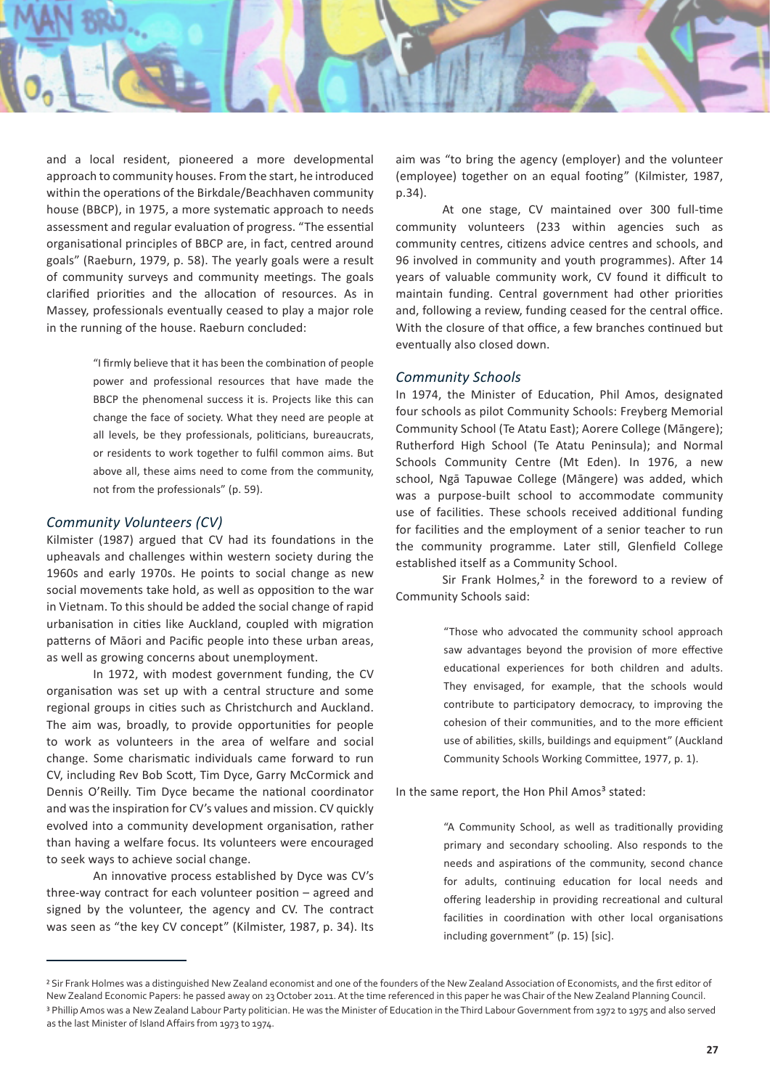

and a local resident, pioneered a more developmental approach to community houses. From the start, he introduced within the operations of the Birkdale/Beachhaven community house (BBCP), in 1975, a more systematic approach to needs assessment and regular evaluation of progress. "The essential organisational principles of BBCP are, in fact, centred around goals" (Raeburn, 1979, p. 58). The yearly goals were a result of community surveys and community meetings. The goals clarified priorities and the allocation of resources. As in Massey, professionals eventually ceased to play a major role in the running of the house. Raeburn concluded:

> "I firmly believe that it has been the combination of people power and professional resources that have made the BBCP the phenomenal success it is. Projects like this can change the face of society. What they need are people at all levels, be they professionals, politicians, bureaucrats, or residents to work together to fulfil common aims. But above all, these aims need to come from the community, not from the professionals" (p. 59).

#### *Community Volunteers (CV)*

Kilmister (1987) argued that CV had its foundations in the upheavals and challenges within western society during the 1960s and early 1970s. He points to social change as new social movements take hold, as well as opposition to the war in Vietnam. To this should be added the social change of rapid urbanisation in cities like Auckland, coupled with migration patterns of Māori and Pacific people into these urban areas, as well as growing concerns about unemployment.

In 1972, with modest government funding, the CV organisation was set up with a central structure and some regional groups in cities such as Christchurch and Auckland. The aim was, broadly, to provide opportunities for people to work as volunteers in the area of welfare and social change. Some charismatic individuals came forward to run CV, including Rev Bob Scott, Tim Dyce, Garry McCormick and Dennis O'Reilly. Tim Dyce became the national coordinator and was the inspiration for CV's values and mission. CV quickly evolved into a community development organisation, rather than having a welfare focus. Its volunteers were encouraged to seek ways to achieve social change.

An innovative process established by Dyce was CV's three-way contract for each volunteer position – agreed and signed by the volunteer, the agency and CV. The contract was seen as "the key CV concept" (Kilmister, 1987, p. 34). Its aim was "to bring the agency (employer) and the volunteer (employee) together on an equal footing" (Kilmister, 1987, p.34).

At one stage, CV maintained over 300 full-time community volunteers (233 within agencies such as community centres, citizens advice centres and schools, and 96 involved in community and youth programmes). After 14 years of valuable community work, CV found it difficult to maintain funding. Central government had other priorities and, following a review, funding ceased for the central office. With the closure of that office, a few branches continued but eventually also closed down.

#### *Community Schools*

In 1974, the Minister of Education, Phil Amos, designated four schools as pilot Community Schools: Freyberg Memorial Community School (Te Atatu East); Aorere College (Māngere); Rutherford High School (Te Atatu Peninsula); and Normal Schools Community Centre (Mt Eden). In 1976, a new school, Ngā Tapuwae College (Māngere) was added, which was a purpose-built school to accommodate community use of facilities. These schools received additional funding for facilities and the employment of a senior teacher to run the community programme. Later still, Glenfield College established itself as a Community School.

Sir Frank Holmes,<sup>2</sup> in the foreword to a review of Community Schools said:

> "Those who advocated the community school approach saw advantages beyond the provision of more effective educational experiences for both children and adults. They envisaged, for example, that the schools would contribute to participatory democracy, to improving the cohesion of their communities, and to the more efficient use of abilities, skills, buildings and equipment" (Auckland Community Schools Working Committee, 1977, p. 1).

In the same report, the Hon Phil Amos<sup>3</sup> stated:

"A Community School, as well as traditionally providing primary and secondary schooling. Also responds to the needs and aspirations of the community, second chance for adults, continuing education for local needs and offering leadership in providing recreational and cultural facilities in coordination with other local organisations including government" (p. 15) [sic].

<sup>&</sup>lt;sup>2</sup> Sir Frank Holmes was a distinguished New Zealand economist and one of the founders of the New Zealand Association of Economists, and the first editor of New Zealand Economic Papers: he passed away on 23 October 2011. At the time referenced in this paper he was Chair of the New Zealand Planning Council. <sup>3</sup> Phillip Amos was a New Zealand Labour Party politician. He was the Minister of Education in the Third Labour Government from 1972 to 1975 and also served as the last Minister of Island Affairs from 1973 to 1974.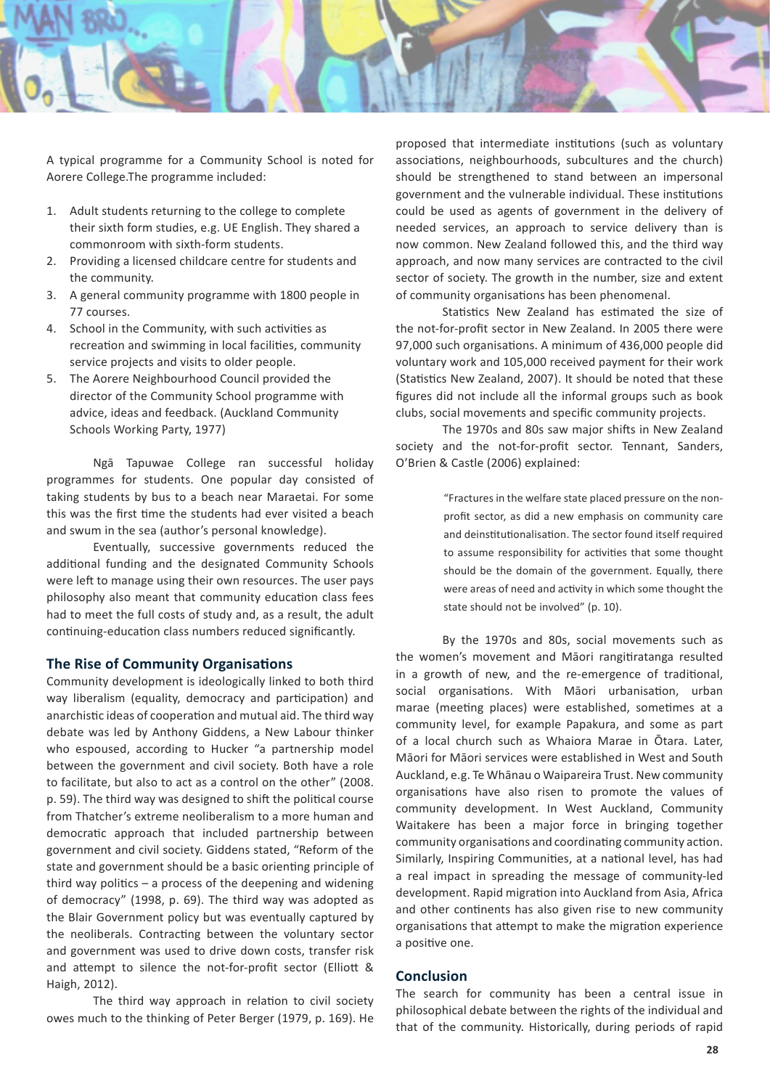

A typical programme for a Community School is noted for Aorere College.The programme included:

- 1. Adult students returning to the college to complete their sixth form studies, e.g. UE English. They shared a commonroom with sixth-form students.
- 2. Providing a licensed childcare centre for students and the community.
- 3. A general community programme with 1800 people in 77 courses.
- 4. School in the Community, with such activities as recreation and swimming in local facilities, community service projects and visits to older people.
- 5. The Aorere Neighbourhood Council provided the director of the Community School programme with advice, ideas and feedback. (Auckland Community Schools Working Party, 1977)

Ngā Tapuwae College ran successful holiday programmes for students. One popular day consisted of taking students by bus to a beach near Maraetai. For some this was the first time the students had ever visited a beach and swum in the sea (author's personal knowledge).

Eventually, successive governments reduced the additional funding and the designated Community Schools were left to manage using their own resources. The user pays philosophy also meant that community education class fees had to meet the full costs of study and, as a result, the adult continuing-education class numbers reduced significantly.

#### **The Rise of Community Organisations**

Community development is ideologically linked to both third way liberalism (equality, democracy and participation) and anarchistic ideas of cooperation and mutual aid. The third way debate was led by Anthony Giddens, a New Labour thinker who espoused, according to Hucker "a partnership model between the government and civil society. Both have a role to facilitate, but also to act as a control on the other" (2008. p. 59). The third way was designed to shift the political course from Thatcher's extreme neoliberalism to a more human and democratic approach that included partnership between government and civil society. Giddens stated, "Reform of the state and government should be a basic orienting principle of third way politics – a process of the deepening and widening of democracy" (1998, p. 69). The third way was adopted as the Blair Government policy but was eventually captured by the neoliberals. Contracting between the voluntary sector and government was used to drive down costs, transfer risk and attempt to silence the not-for-profit sector (Elliott & Haigh, 2012).

The third way approach in relation to civil society owes much to the thinking of Peter Berger (1979, p. 169). He

proposed that intermediate institutions (such as voluntary associations, neighbourhoods, subcultures and the church) should be strengthened to stand between an impersonal government and the vulnerable individual. These institutions could be used as agents of government in the delivery of needed services, an approach to service delivery than is now common. New Zealand followed this, and the third way approach, and now many services are contracted to the civil sector of society. The growth in the number, size and extent of community organisations has been phenomenal.

Statistics New Zealand has estimated the size of the not-for-profit sector in New Zealand. In 2005 there were 97,000 such organisations. A minimum of 436,000 people did voluntary work and 105,000 received payment for their work (Statistics New Zealand, 2007). It should be noted that these figures did not include all the informal groups such as book clubs, social movements and specific community projects.

The 1970s and 80s saw major shifts in New Zealand society and the not-for-profit sector. Tennant, Sanders, O'Brien & Castle (2006) explained:

> "Fractures in the welfare state placed pressure on the nonprofit sector, as did a new emphasis on community care and deinstitutionalisation. The sector found itself required to assume responsibility for activities that some thought should be the domain of the government. Equally, there were areas of need and activity in which some thought the state should not be involved" (p. 10).

By the 1970s and 80s, social movements such as the women's movement and Māori rangitiratanga resulted in a growth of new, and the re-emergence of traditional, social organisations. With Māori urbanisation, urban marae (meeting places) were established, sometimes at a community level, for example Papakura, and some as part of a local church such as Whaiora Marae in Ōtara. Later, Māori for Māori services were established in West and South Auckland, e.g. Te Whānau o Waipareira Trust. New community organisations have also risen to promote the values of community development. In West Auckland, Community Waitakere has been a major force in bringing together community organisations and coordinating community action. Similarly, Inspiring Communities, at a national level, has had a real impact in spreading the message of community-led development. Rapid migration into Auckland from Asia, Africa and other continents has also given rise to new community organisations that attempt to make the migration experience a positive one.

#### **Conclusion**

The search for community has been a central issue in philosophical debate between the rights of the individual and that of the community. Historically, during periods of rapid